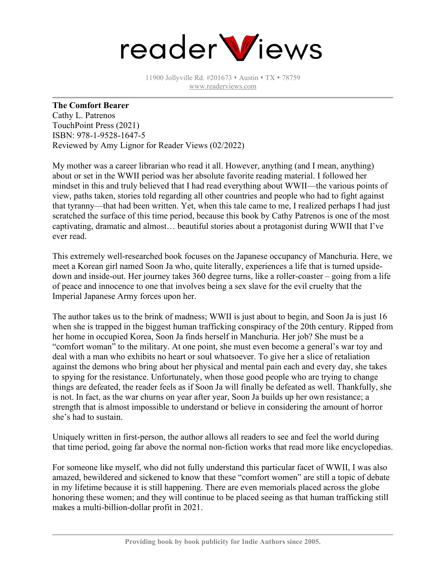

11900 Jollyville Rd. #201673 • Austin • TX • 78759 [www.readerviews.com](http://www.readerviews.com/)

## **The Comfort Bearer**

Cathy L. Patrenos TouchPoint Press (2021) ISBN: 978-1-9528-1647-5 Reviewed by Amy Lignor for Reader Views (02/2022)

My mother was a career librarian who read it all. However, anything (and I mean, anything) about or set in the WWII period was her absolute favorite reading material. I followed her mindset in this and truly believed that I had read everything about WWII—the various points of view, paths taken, stories told regarding all other countries and people who had to fight against that tyranny—that had been written. Yet, when this tale came to me, I realized perhaps I had just scratched the surface of this time period, because this book by Cathy Patrenos is one of the most captivating, dramatic and almost… beautiful stories about a protagonist during WWII that I've ever read.

This extremely well-researched book focuses on the Japanese occupancy of Manchuria. Here, we meet a Korean girl named Soon Ja who, quite literally, experiences a life that is turned upsidedown and inside-out. Her journey takes 360 degree turns, like a roller-coaster – going from a life of peace and innocence to one that involves being a sex slave for the evil cruelty that the Imperial Japanese Army forces upon her.

The author takes us to the brink of madness; WWII is just about to begin, and Soon Ja is just 16 when she is trapped in the biggest human trafficking conspiracy of the 20th century. Ripped from her home in occupied Korea, Soon Ja finds herself in Manchuria. Her job? She must be a "comfort woman" to the military. At one point, she must even become a general's war toy and deal with a man who exhibits no heart or soul whatsoever. To give her a slice of retaliation against the demons who bring about her physical and mental pain each and every day, she takes to spying for the resistance. Unfortunately, when those good people who are trying to change things are defeated, the reader feels as if Soon Ja will finally be defeated as well. Thankfully, she is not. In fact, as the war churns on year after year, Soon Ja builds up her own resistance; a strength that is almost impossible to understand or believe in considering the amount of horror she's had to sustain.

Uniquely written in first-person, the author allows all readers to see and feel the world during that time period, going far above the normal non-fiction works that read more like encyclopedias.

For someone like myself, who did not fully understand this particular facet of WWII, I was also amazed, bewildered and sickened to know that these "comfort women" are still a topic of debate in my lifetime because it is still happening. There are even memorials placed across the globe honoring these women; and they will continue to be placed seeing as that human trafficking still makes a multi-billion-dollar profit in 2021.